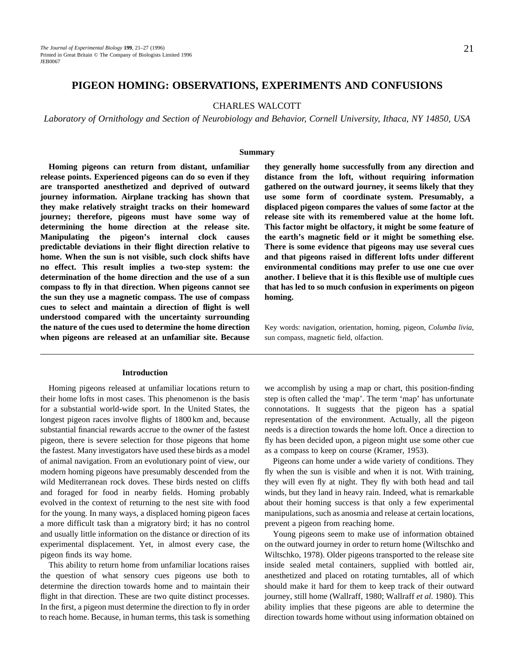# **PIGEON HOMING: OBSERVATIONS, EXPERIMENTS AND CONFUSIONS**

# CHARLES WALCOTT

*Laboratory of Ornithology and Section of Neurobiology and Behavior, Cornell University, Ithaca, NY 14850, USA*

#### **Summary**

**Homing pigeons can return from distant, unfamiliar release points. Experienced pigeons can do so even if they are transported anesthetized and deprived of outward journey information. Airplane tracking has shown that they make relatively straight tracks on their homeward journey; therefore, pigeons must have some way of determining the home direction at the release site. Manipulating the pigeon's internal clock causes predictable deviations in their flight direction relative to home. When the sun is not visible, such clock shifts have no effect. This result implies a two-step system: the determination of the home direction and the use of a sun compass to fly in that direction. When pigeons cannot see the sun they use a magnetic compass. The use of compass cues to select and maintain a direction of flight is well understood compared with the uncertainty surrounding the nature of the cues used to determine the home direction when pigeons are released at an unfamiliar site. Because**

## **Introduction**

Homing pigeons released at unfamiliar locations return to their home lofts in most cases. This phenomenon is the basis for a substantial world-wide sport. In the United States, the longest pigeon races involve flights of 1800 km and, because substantial financial rewards accrue to the owner of the fastest pigeon, there is severe selection for those pigeons that home the fastest. Many investigators have used these birds as a model of animal navigation. From an evolutionary point of view, our modern homing pigeons have presumably descended from the wild Mediterranean rock doves. These birds nested on cliffs and foraged for food in nearby fields. Homing probably evolved in the context of returning to the nest site with food for the young. In many ways, a displaced homing pigeon faces a more difficult task than a migratory bird; it has no control and usually little information on the distance or direction of its experimental displacement. Yet, in almost every case, the pigeon finds its way home.

This ability to return home from unfamiliar locations raises the question of what sensory cues pigeons use both to determine the direction towards home and to maintain their flight in that direction. These are two quite distinct processes. In the first, a pigeon must determine the direction to fly in order to reach home. Because, in human terms, this task is something

**they generally home successfully from any direction and distance from the loft, without requiring information gathered on the outward journey, it seems likely that they use some form of coordinate system. Presumably, a displaced pigeon compares the values of some factor at the release site with its remembered value at the home loft. This factor might be olfactory, it might be some feature of the earth's magnetic field or it might be something else. There is some evidence that pigeons may use several cues and that pigeons raised in different lofts under different environmental conditions may prefer to use one cue over another. I believe that it is this flexible use of multiple cues that has led to so much confusion in experiments on pigeon homing.**

Key words: navigation, orientation, homing, pigeon, *Columba livia*, sun compass, magnetic field, olfaction.

we accomplish by using a map or chart, this position-finding step is often called the 'map'. The term 'map' has unfortunate connotations. It suggests that the pigeon has a spatial representation of the environment. Actually, all the pigeon needs is a direction towards the home loft. Once a direction to fly has been decided upon, a pigeon might use some other cue as a compass to keep on course (Kramer, 1953).

Pigeons can home under a wide variety of conditions. They fly when the sun is visible and when it is not. With training, they will even fly at night. They fly with both head and tail winds, but they land in heavy rain. Indeed, what is remarkable about their homing success is that only a few experimental manipulations, such as anosmia and release at certain locations, prevent a pigeon from reaching home.

Young pigeons seem to make use of information obtained on the outward journey in order to return home (Wiltschko and Wiltschko, 1978). Older pigeons transported to the release site inside sealed metal containers, supplied with bottled air, anesthetized and placed on rotating turntables, all of which should make it hard for them to keep track of their outward journey, still home (Wallraff, 1980; Wallraff *et al.* 1980). This ability implies that these pigeons are able to determine the direction towards home without using information obtained on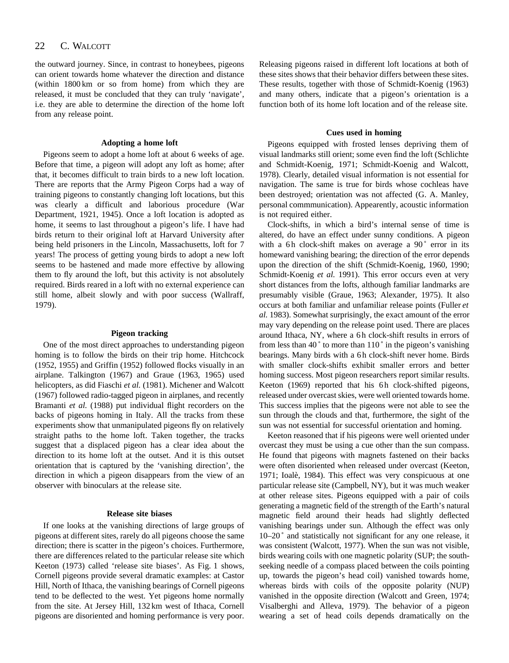the outward journey. Since, in contrast to honeybees, pigeons can orient towards home whatever the direction and distance (within 1800 km or so from home) from which they are released, it must be concluded that they can truly 'navigate', i.e. they are able to determine the direction of the home loft from any release point.

#### **Adopting a home loft**

Pigeons seem to adopt a home loft at about 6 weeks of age. Before that time, a pigeon will adopt any loft as home; after that, it becomes difficult to train birds to a new loft location. There are reports that the Army Pigeon Corps had a way of training pigeons to constantly changing loft locations, but this was clearly a difficult and laborious procedure (War Department, 1921, 1945). Once a loft location is adopted as home, it seems to last throughout a pigeon's life. I have had birds return to their original loft at Harvard University after being held prisoners in the Lincoln, Massachusetts, loft for 7 years! The process of getting young birds to adopt a new loft seems to be hastened and made more effective by allowing them to fly around the loft, but this activity is not absolutely required. Birds reared in a loft with no external experience can still home, albeit slowly and with poor success (Wallraff, 1979).

#### **Pigeon tracking**

One of the most direct approaches to understanding pigeon homing is to follow the birds on their trip home. Hitchcock (1952, 1955) and Griffin (1952) followed flocks visually in an airplane. Talkington (1967) and Graue (1963, 1965) used helicopters, as did Fiaschi *et al.* (1981). Michener and Walcott (1967) followed radio-tagged pigeon in airplanes, and recently Bramanti *et al.* (1988) put individual flight recorders on the backs of pigeons homing in Italy. All the tracks from these experiments show that unmanipulated pigeons fly on relatively straight paths to the home loft. Taken together, the tracks suggest that a displaced pigeon has a clear idea about the direction to its home loft at the outset. And it is this outset orientation that is captured by the 'vanishing direction', the direction in which a pigeon disappears from the view of an observer with binoculars at the release site.

#### **Release site biases**

If one looks at the vanishing directions of large groups of pigeons at different sites, rarely do all pigeons choose the same direction; there is scatter in the pigeon's choices. Furthermore, there are differences related to the particular release site which Keeton (1973) called 'release site biases'. As Fig. 1 shows, Cornell pigeons provide several dramatic examples: at Castor Hill, North of Ithaca, the vanishing bearings of Cornell pigeons tend to be deflected to the west. Yet pigeons home normally from the site. At Jersey Hill, 132 km west of Ithaca, Cornell pigeons are disoriented and homing performance is very poor.

Releasing pigeons raised in different loft locations at both of these sites shows that their behavior differs between these sites. These results, together with those of Schmidt-Koenig (1963) and many others, indicate that a pigeon's orientation is a function both of its home loft location and of the release site.

## **Cues used in homing**

Pigeons equipped with frosted lenses depriving them of visual landmarks still orient; some even find the loft (Schlichte and Schmidt-Koenig, 1971; Schmidt-Koenig and Walcott, 1978). Clearly, detailed visual information is not essential for navigation. The same is true for birds whose cochleas have been destroyed; orientation was not affected (G. A. Manley, personal commmunication). Appearently, acoustic information is not required either.

Clock-shifts, in which a bird's internal sense of time is altered, do have an effect under sunny conditions. A pigeon with a 6h clock-shift makes on average a  $90^\circ$  error in its homeward vanishing bearing; the direction of the error depends upon the direction of the shift (Schmidt-Koenig, 1960, 1990; Schmidt-Koenig et al. 1991). This error occurs even at very short distances from the lofts, although familiar landmarks are presumably visible (Graue, 1963; Alexander, 1975). It also occurs at both familiar and unfamiliar release points (Fuller *et al.* 1983). Somewhat surprisingly, the exact amount of the error may vary depending on the release point used. There are places around Ithaca, NY, where a 6h clock-shift results in errors of from less than 40° to more than 110° in the pigeon's vanishing bearings. Many birds with a 6h clock-shift never home. Birds with smaller clock-shifts exhibit smaller errors and better homing success. Most pigeon researchers report similar results. Keeton (1969) reported that his 6h clock-shifted pigeons, released under overcast skies, were well oriented towards home. This success implies that the pigeons were not able to see the sun through the clouds and that, furthermore, the sight of the sun was not essential for successful orientation and homing.

Keeton reasoned that if his pigeons were well oriented under overcast they must be using a cue other than the sun compass. He found that pigeons with magnets fastened on their backs were often disoriented when released under overcast (Keeton, 1971; Ioalè, 1984). This effect was very conspicuous at one particular release site (Campbell, NY), but it was much weaker at other release sites. Pigeons equipped with a pair of coils generating a magnetic field of the strength of the Earth's natural magnetic field around their heads had slightly deflected vanishing bearings under sun. Although the effect was only 10–20 ˚ and statistically not significant for any one release, it was consistent (Walcott, 1977). When the sun was not visible, birds wearing coils with one magnetic polarity (SUP; the southseeking needle of a compass placed between the coils pointing up, towards the pigeon's head coil) vanished towards home, whereas birds with coils of the opposite polarity (NUP) vanished in the opposite direction (Walcott and Green, 1974; Visalberghi and Alleva, 1979). The behavior of a pigeon wearing a set of head coils depends dramatically on the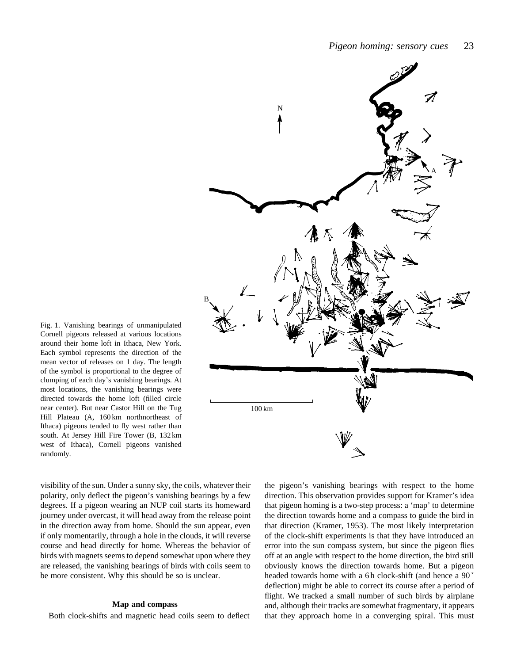

Fig. 1. Vanishing bearings of unmanipulated Cornell pigeons released at various locations around their home loft in Ithaca, New York. Each symbol represents the direction of the mean vector of releases on 1 day. The length of the symbol is proportional to the degree of clumping of each day's vanishing bearings. At most locations, the vanishing bearings were directed towards the home loft (filled circle near center). But near Castor Hill on the Tug Hill Plateau (A, 160 km northnortheast of Ithaca) pigeons tended to fly west rather than south. At Jersey Hill Fire Tower (B, 132 km west of Ithaca), Cornell pigeons vanished randomly.

visibility of the sun. Under a sunny sky, the coils, whatever their polarity, only deflect the pigeon's vanishing bearings by a few degrees. If a pigeon wearing an NUP coil starts its homeward journey under overcast, it will head away from the release point in the direction away from home. Should the sun appear, even if only momentarily, through a hole in the clouds, it will reverse course and head directly for home. Whereas the behavior of birds with magnets seems to depend somewhat upon where they are released, the vanishing bearings of birds with coils seem to be more consistent. Why this should be so is unclear.

### **Map and compass**

Both clock-shifts and magnetic head coils seem to deflect

the pigeon's vanishing bearings with respect to the home direction. This observation provides support for Kramer's idea that pigeon homing is a two-step process: a 'map' to determine the direction towards home and a compass to guide the bird in that direction (Kramer, 1953). The most likely interpretation of the clock-shift experiments is that they have introduced an error into the sun compass system, but since the pigeon flies off at an angle with respect to the home direction, the bird still obviously knows the direction towards home. But a pigeon headed towards home with a 6h clock-shift (and hence a 90<sup>°</sup> deflection) might be able to correct its course after a period of flight. We tracked a small number of such birds by airplane and, although their tracks are somewhat fragmentary, it appears that they approach home in a converging spiral. This must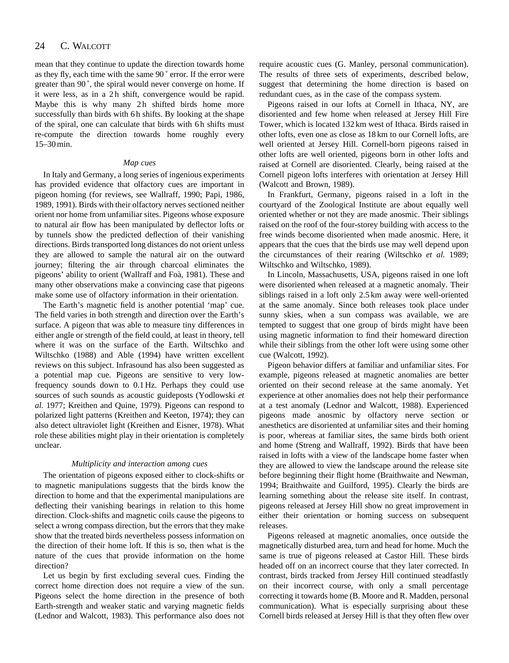#### 24 C. WALCOTT

mean that they continue to update the direction towards home as they fly, each time with the same 90 ˚ error. If the error were greater than 90 ˚, the spiral would never converge on home. If it were less, as in a 2h shift, convergence would be rapid. Maybe this is why many 2h shifted birds home more successfully than birds with 6 h shifts. By looking at the shape of the spiral, one can calculate that birds with 6 h shifts must re-compute the direction towards home roughly every 15–30 min.

## *Map cues*

In Italy and Germany, a long series of ingenious experiments has provided evidence that olfactory cues are important in pigeon homing (for reviews, see Wallraff, 1990; Papi, 1986, 1989, 1991). Birds with their olfactory nerves sectioned neither orient nor home from unfamiliar sites. Pigeons whose exposure to natural air flow has been manipulated by deflector lofts or by tunnels show the predicted deflection of their vanishing directions. Birds transported long distances do not orient unless they are allowed to sample the natural air on the outward journey; filtering the air through charcoal eliminates the pigeons' ability to orient (Wallraff and Foà, 1981). These and many other observations make a convincing case that pigeons make some use of olfactory information in their orientation.

The Earth's magnetic field is another potential 'map' cue. The field varies in both strength and direction over the Earth's surface. A pigeon that was able to measure tiny differences in either angle or strength of the field could, at least in theory, tell where it was on the surface of the Earth. Wiltschko and Wiltschko (1988) and Able (1994) have written excellent reviews on this subject. Infrasound has also been suggested as a potential map cue. Pigeons are sensitive to very lowfrequency sounds down to 0.1 Hz. Perhaps they could use sources of such sounds as acoustic guideposts (Yodlowski *et al.* 1977; Kreithen and Quine, 1979). Pigeons can respond to polarized light patterns (Kreithen and Keeton, 1974); they can also detect ultraviolet light (Kreithen and Eisner, 1978). What role these abilities might play in their orientation is completely unclear.

### *Multiplicity and interaction among cues*

The orientation of pigeons exposed either to clock-shifts or to magnetic manipulations suggests that the birds know the direction to home and that the experimental manipulations are deflecting their vanishing bearings in relation to this home direction. Clock-shifts and magnetic coils cause the pigeons to select a wrong compass direction, but the errors that they make show that the treated birds nevertheless possess information on the direction of their home loft. If this is so, then what is the nature of the cues that provide information on the home direction?

Let us begin by first excluding several cues. Finding the correct home direction does not require a view of the sun. Pigeons select the home direction in the presence of both Earth-strength and weaker static and varying magnetic fields (Lednor and Walcott, 1983). This performance also does not require acoustic cues (G. Manley, personal communication). The results of three sets of experiments, described below, suggest that determining the home direction is based on redundant cues, as in the case of the compass system.

Pigeons raised in our lofts at Cornell in Ithaca, NY, are disoriented and few home when released at Jersey Hill Fire Tower, which is located 132 km west of Ithaca. Birds raised in other lofts, even one as close as 18 km to our Cornell lofts, are well oriented at Jersey Hill. Cornell-born pigeons raised in other lofts are well oriented, pigeons born in other lofts and raised at Cornell are disoriented. Clearly, being raised at the Cornell pigeon lofts interferes with orientation at Jersey Hill (Walcott and Brown, 1989).

In Frankfurt, Germany, pigeons raised in a loft in the courtyard of the Zoological Institute are about equally well oriented whether or not they are made anosmic. Their siblings raised on the roof of the four-storey building with access to the free winds become disoriented when made anosmic. Here, it appears that the cues that the birds use may well depend upon the circumstances of their rearing (Wiltschko *et al.* 1989; Wiltschko and Wiltschko, 1989).

In Lincoln, Massachusetts, USA, pigeons raised in one loft were disoriented when released at a magnetic anomaly. Their siblings raised in a loft only 2.5 km away were well-oriented at the same anomaly. Since both releases took place under sunny skies, when a sun compass was available, we are tempted to suggest that one group of birds might have been using magnetic information to find their homeward direction while their siblings from the other loft were using some other cue (Walcott, 1992).

Pigeon behavior differs at familiar and unfamiliar sites. For example, pigeons released at magnetic anomalies are better oriented on their second release at the same anomaly. Yet experience at other anomalies does not help their performance at a test anomaly (Lednor and Walcott, 1988). Experienced pigeons made anosmic by olfactory nerve section or anesthetics are disoriented at unfamiliar sites and their homing is poor, whereas at familiar sites, the same birds both orient and home (Streng and Wallraff, 1992). Birds that have been raised in lofts with a view of the landscape home faster when they are allowed to view the landscape around the release site before beginning their flight home (Braithwaite and Newman, 1994; Braithwaite and Guilford, 1995). Clearly the birds are learning something about the release site itself. In contrast, pigeons released at Jersey Hill show no great improvement in either their orientation or homing success on subsequent releases.

Pigeons released at magnetic anomalies, once outside the magnetically disturbed area, turn and head for home. Much the same is true of pigeons released at Castor Hill. These birds headed off on an incorrect course that they later corrected. In contrast, birds tracked from Jersey Hill continued steadfastly on their incorrect course, with only a small percentage correcting it towards home (B. Moore and R. Madden, personal communication). What is especially surprising about these Cornell birds released at Jersey Hill is that they often flew over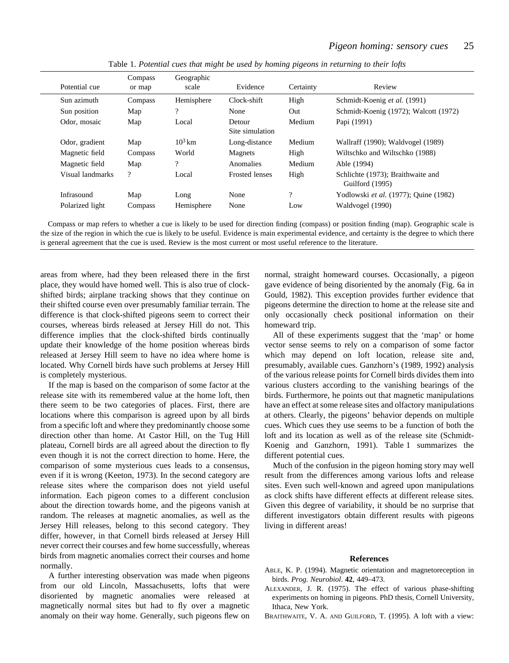| Potential cue    | Compass<br>or map        | Geographic<br>scale      | Evidence                  | Certainty          | Review                                               |
|------------------|--------------------------|--------------------------|---------------------------|--------------------|------------------------------------------------------|
| Sun azimuth      | Compass                  | Hemisphere               | Clock-shift               | High               | Schmidt-Koenig et al. (1991)                         |
| Sun position     | Map                      | $\overline{\mathcal{L}}$ | None                      | Out                | Schmidt-Koenig (1972); Walcott (1972)                |
| Odor, mosaic     | Map                      | Local                    | Detour<br>Site simulation | Medium             | Papi (1991)                                          |
| Odor, gradient   | Map                      | $10^3$ km                | Long-distance             | Medium             | Wallraff (1990); Waldvogel (1989)                    |
| Magnetic field   | Compass                  | World                    | Magnets                   | High               | Wiltschko and Wiltschko (1988)                       |
| Magnetic field   | Map                      | $\overline{\mathcal{L}}$ | Anomalies                 | Medium             | Able (1994)                                          |
| Visual landmarks | $\overline{\mathcal{L}}$ | Local                    | <b>Frosted lenses</b>     | High               | Schlichte (1973); Braithwaite and<br>Guilford (1995) |
| Infrasound       | Map                      | Long                     | None                      | $\overline{\cdot}$ | Yodlowski et al. (1977); Quine (1982)                |
| Polarized light  | Compass                  | Hemisphere               | None                      | Low                | Waldvogel (1990)                                     |

Table 1. *Potential cues that might be used by homing pigeons in returning to their lofts*

Compass or map refers to whether a cue is likely to be used for direction finding (compass) or position finding (map). Geographic scale is the size of the region in which the cue is likely to be useful. Evidence is main experimental evidence, and certainty is the degree to which there is general agreement that the cue is used. Review is the most current or most useful reference to the literature.

areas from where, had they been released there in the first place, they would have homed well. This is also true of clockshifted birds; airplane tracking shows that they continue on their shifted course even over presumably familiar terrain. The difference is that clock-shifted pigeons seem to correct their courses, whereas birds released at Jersey Hill do not. This difference implies that the clock-shifted birds continually update their knowledge of the home position whereas birds released at Jersey Hill seem to have no idea where home is located. Why Cornell birds have such problems at Jersey Hill is completely mysterious.

If the map is based on the comparison of some factor at the release site with its remembered value at the home loft, then there seem to be two categories of places. First, there are locations where this comparison is agreed upon by all birds from a specific loft and where they predominantly choose some direction other than home. At Castor Hill, on the Tug Hill plateau, Cornell birds are all agreed about the direction to fly even though it is not the correct direction to home. Here, the comparison of some mysterious cues leads to a consensus, even if it is wrong (Keeton, 1973). In the second category are release sites where the comparison does not yield useful information. Each pigeon comes to a different conclusion about the direction towards home, and the pigeons vanish at random. The releases at magnetic anomalies, as well as the Jersey Hill releases, belong to this second category. They differ, however, in that Cornell birds released at Jersey Hill never correct their courses and few home successfully, whereas birds from magnetic anomalies correct their courses and home normally.

A further interesting observation was made when pigeons from our old Lincoln, Massachusetts, lofts that were disoriented by magnetic anomalies were released at magnetically normal sites but had to fly over a magnetic anomaly on their way home. Generally, such pigeons flew on

normal, straight homeward courses. Occasionally, a pigeon gave evidence of being disoriented by the anomaly (Fig. 6a in Gould, 1982). This exception provides further evidence that pigeons determine the direction to home at the release site and only occasionally check positional information on their homeward trip.

All of these experiments suggest that the 'map' or home vector sense seems to rely on a comparison of some factor which may depend on loft location, release site and, presumably, available cues. Ganzhorn's (1989, 1992) analysis of the various release points for Cornell birds divides them into various clusters according to the vanishing bearings of the birds. Furthermore, he points out that magnetic manipulations have an effect at some release sites and olfactory manipulations at others. Clearly, the pigeons' behavior depends on multiple cues. Which cues they use seems to be a function of both the loft and its location as well as of the release site (Schmidt-Koenig and Ganzhorn, 1991). Table 1 summarizes the different potential cues.

Much of the confusion in the pigeon homing story may well result from the differences among various lofts and release sites. Even such well-known and agreed upon manipulations as clock shifts have different effects at different release sites. Given this degree of variability, it should be no surprise that different investigators obtain different results with pigeons living in different areas!

## **References**

- ABLE, K. P. (1994). Magnetic orientation and magnetoreception in birds. *Prog. Neurobiol*. **42**, 449–473.
- ALEXANDER, J. R. (1975). The effect of various phase-shifting experiments on homing in pigeons. PhD thesis, Cornell University, Ithaca, New York.
- BRAITHWAITE, V. A. AND GUILFORD, T. (1995). A loft with a view: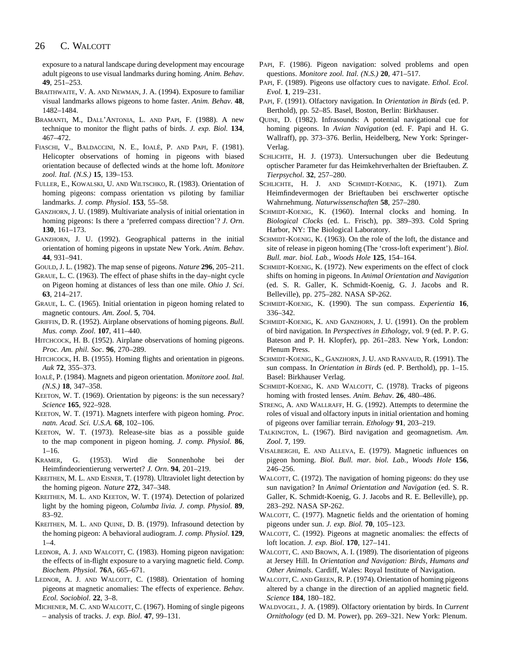#### 26 C. WALCOTT

exposure to a natural landscape during development may encourage adult pigeons to use visual landmarks during homing. *Anim. Behav*. **49**, 251–253.

- BRAITHWAITE, V. A. AND NEWMAN, J. A. (1994). Exposure to familiar visual landmarks allows pigeons to home faster. *Anim. Behav*. **48**, 1482–1484.
- BRAMANTI, M., DALL'ANTONIA, L. AND PAPI, F. (1988). A new technique to monitor the flight paths of birds. *J. exp. Biol.* **134**, 467–472.
- FIASCHI, V., BALDACCINI, N. E., IOALÈ, P. AND PAPI, F. (1981). Helicopter observations of homing in pigeons with biased orientation because of deflected winds at the home loft. *Monitore zool. Ital. (N.S.)* **15**, 139–153.
- FULLER, E., KOWALSKI, U. AND WILTSCHKO, R. (1983). Orientation of homing pigeons: compass orientation vs piloting by familiar landmarks. *J. comp. Physiol*. **153**, 55–58.
- GANZHORN, J. U. (1989). Multivariate analysis of initial orientation in homing pigeons: Is there a 'preferred compass direction'? *J. Orn*. **130**, 161–173.
- GANZHORN, J. U. (1992). Geographical patterns in the initial orientation of homing pigeons in upstate New York. *Anim. Behav*. **44**, 931–941.
- GOULD, J. L. (1982). The map sense of pigeons. *Nature* **296**, 205–211.
- GRAUE, L. C. (1963). The effect of phase shifts in the day–night cycle on Pigeon homing at distances of less than one mile. *Ohio J. Sci*. **63**, 214–217.
- GRAUE, L. C. (1965). Initial orientation in pigeon homing related to magnetic contours. *Am. Zool*. **5**, 704.
- GRIFFIN, D. R. (1952). Airplane observations of homing pigeons. *Bull. Mus. comp. Zool*. **107**, 411–440.
- HITCHCOCK, H. B. (1952). Airplane observations of homing pigeons. *Proc. Am. phil. Soc*. **96**, 270–289.
- HITCHCOCK, H. B. (1955). Homing flights and orientation in pigeons. *Auk* **72**, 355–373.
- IOALÈ, P. (1984). Magnets and pigeon orientation. *Monitore zool. Ital. (N.S.)* **18**, 347–358.
- KEETON, W. T. (1969). Orientation by pigeons: is the sun necessary? *Science* **165**, 922–928.
- KEETON, W. T. (1971). Magnets interfere with pigeon homing. *Proc. natn. Acad. Sci. U.S.A.* **68**, 102–106.
- KEETON, W. T. (1973). Release-site bias as a possible guide to the map component in pigeon homing. *J. comp. Physiol.* **86**,  $1 - 16$
- KRAMER, G. (1953). Wird die Sonnenhohe bei der Heimfindeorientierung verwertet? *J. Orn*. **94**, 201–219.
- KREITHEN, M. L. AND EISNER, T. (1978). Ultraviolet light detection by the homing pigeon. *Nature* **272**, 347–348.
- KREITHEN, M. L. AND KEETON, W. T. (1974). Detection of polarized light by the homing pigeon, *Columba livia. J. comp. Physiol.* **89**, 83–92.
- KREITHEN, M. L. AND QUINE, D. B. (1979). Infrasound detection by the homing pigeon: A behavioral audiogram. *J. comp. Physiol*. **129**,  $1-4.$
- LEDNOR, A. J. AND WALCOTT, C. (1983). Homing pigeon navigation: the effects of in-flight exposure to a varying magnetic field. *Comp. Biochem. Physiol.* **76**A, 665–671.
- LEDNOR, A. J. AND WALCOTT, C. (1988). Orientation of homing pigeons at magnetic anomalies: The effects of experience. *Behav. Ecol. Sociobiol*. **22**, 3–8.
- MICHENER, M. C. AND WALCOTT, C. (1967). Homing of single pigeons – analysis of tracks. *J. exp. Biol*. **47**, 99–131.
- PAPI, F. (1986). Pigeon navigation: solved problems and open questions. *Monitore zool. Ital. (N.S.)* **20**, 471–517.
- PAPI, F. (1989). Pigeons use olfactory cues to navigate. *Ethol. Ecol. Evol.* **1**, 219–231.
- PAPI, F. (1991). Olfactory navigation. In *Orientation in Birds* (ed. P. Berthold), pp. 52–85. Basel, Boston, Berlin: Birkhauser.
- QUINE, D. (1982). Infrasounds: A potential navigational cue for homing pigeons. In *Avian Navigation* (ed. F. Papi and H. G. Wallraff), pp. 373–376. Berlin, Heidelberg, New York: Springer-Verlag.
- SCHLICHTE, H. J. (1973). Untersuchungen uber die Bedeutung optischer Parameter fur das Heimkehrverhalten der Brieftauben. *Z. Tierpsychol*. **32**, 257–280.
- SCHLICHTE, H. J. AND SCHMIDT-KOENIG, K. (1971). Zum Heimfindevermogen der Brieftauben bei erschwerter optische Wahrnehmung. *Naturwissenschaften* **58**, 257–280.
- SCHMIDT-KOENIG, K. (1960). Internal clocks and homing. In *Biological Clocks* (ed. L. Frisch), pp. 389–393. Cold Spring Harbor, NY: The Biological Laboratory.
- SCHMIDT-KOENIG, K. (1963). On the role of the loft, the distance and site of release in pigeon homing (The 'cross-loft experiment'). *Biol. Bull. mar. biol. Lab., Woods Hole* **125**, 154–164.
- SCHMIDT-KOENIG, K. (1972). New experiments on the effect of clock shifts on homing in pigeons. In *Animal Orientation and Navigation* (ed. S. R. Galler, K. Schmidt-Koenig, G. J. Jacobs and R. Belleville), pp. 275–282. NASA SP-262.
- SCHMIDT-KOENIG, K. (1990). The sun compass. *Experientia* **16**, 336–342.
- SCHMIDT-KOENIG, K. AND GANZHORN, J. U. (1991). On the problem of bird navigation. In *Perspectives in Ethology*, vol. 9 (ed. P. P. G. Bateson and P. H. Klopfer), pp. 261–283. New York, London: Plenum Press.
- SCHMIDT-KOENIG, K., GANZHORN, J. U. AND RANVAUD, R. (1991). The sun compass. In *Orientation in Birds* (ed. P. Berthold), pp. 1–15. Basel: Birkhauser Verlag.
- SCHMIDT-KOENIG, K. AND WALCOTT, C. (1978). Tracks of pigeons homing with frosted lenses. *Anim. Behav*. **26**, 480–486.
- STRENG, A. AND WALLRAFF, H. G. (1992). Attempts to determine the roles of visual and olfactory inputs in initial orientation and homing of pigeons over familiar terrain. *Ethology* **91**, 203–219.
- TALKINGTON, L. (1967). Bird navigation and geomagnetism. *Am. Zool*. **7**, 199.
- VISALBERGHI, E. AND ALLEVA, E. (1979). Magnetic influences on pigeon homing. *Biol. Bull. mar. biol. Lab., Woods Hole* **156**, 246–256.
- WALCOTT, C. (1972). The navigation of homing pigeons: do they use sun navigation? In *Animal Orientation and Navigation* (ed. S. R. Galler, K. Schmidt-Koenig, G. J. Jacobs and R. E. Belleville), pp. 283–292. NASA SP-262.
- WALCOTT, C. (1977). Magnetic fields and the orientation of homing pigeons under sun. *J. exp. Biol.* **70**, 105–123.
- WALCOTT, C. (1992). Pigeons at magnetic anomalies: the effects of loft location. *J. exp. Biol*. **170**, 127–141.
- WALCOTT, C. AND BROWN, A. I. (1989). The disorientation of pigeons at Jersey Hill. In *Orientation and Navigation: Birds, Humans and Other Animals*. Cardiff, Wales: Royal Institute of Navigation.
- WALCOTT, C. AND GREEN, R. P. (1974). Orientation of homing pigeons altered by a change in the direction of an applied magnetic field. *Science* **184**, 180–182.
- WALDVOGEL, J. A. (1989). Olfactory orientation by birds. In *Current Ornithology* (ed D. M. Power), pp. 269–321. New York: Plenum.